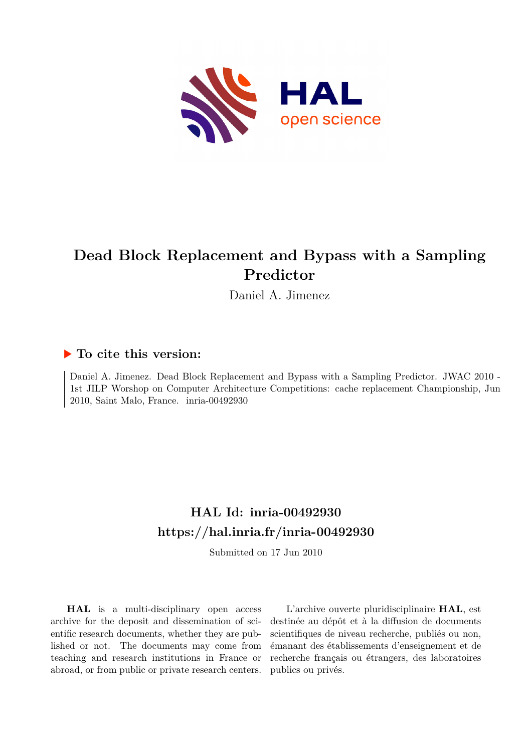

# **Dead Block Replacement and Bypass with a Sampling Predictor**

Daniel A. Jimenez

## **To cite this version:**

Daniel A. Jimenez. Dead Block Replacement and Bypass with a Sampling Predictor. JWAC 2010 - 1st JILP Worshop on Computer Architecture Competitions: cache replacement Championship, Jun  $2010$ , Saint Malo, France. inria-00492930

# **HAL Id: inria-00492930 <https://hal.inria.fr/inria-00492930>**

Submitted on 17 Jun 2010

**HAL** is a multi-disciplinary open access archive for the deposit and dissemination of scientific research documents, whether they are published or not. The documents may come from teaching and research institutions in France or abroad, or from public or private research centers.

L'archive ouverte pluridisciplinaire **HAL**, est destinée au dépôt et à la diffusion de documents scientifiques de niveau recherche, publiés ou non, émanant des établissements d'enseignement et de recherche français ou étrangers, des laboratoires publics ou privés.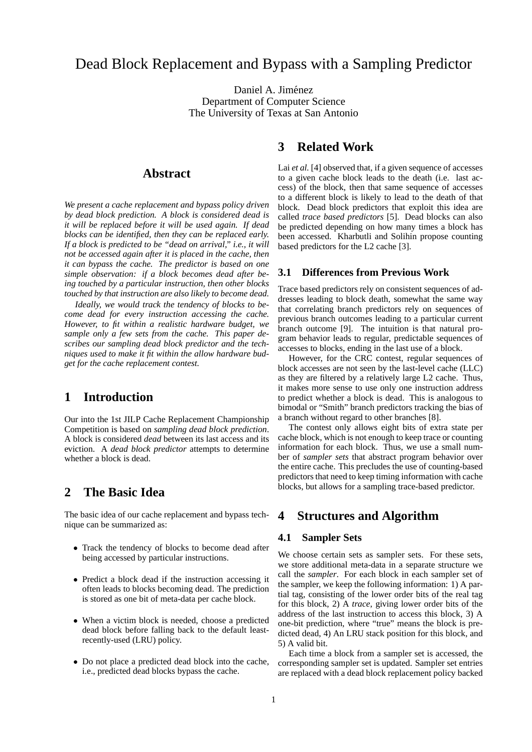## Dead Block Replacement and Bypass with a Sampling Predictor

Daniel A. Jiménez Department of Computer Science The University of Texas at San Antonio

## **Abstract**

*We present a cache replacement and bypass policy driven by dead block prediction. A block is considered dead is it will be replaced before it will be used again. If dead blocks can be identified, then they can be replaced early. If a block is predicted to be "dead on arrival," i.e., it will not be accessed again after it is placed in the cache, then it can bypass the cache. The predictor is based on one simple observation: if a block becomes dead after being touched by a particular instruction, then other blocks touched by that instruction are also likely to become dead.*

*Ideally, we would track the tendency of blocks to become dead for every instruction accessing the cache. However, to fit within a realistic hardware budget, we sample only a few sets from the cache. This paper describes our sampling dead block predictor and the techniques used to make it fit within the allow hardware budget for the cache replacement contest.*

## **1 Introduction**

Our into the 1st JILP Cache Replacement Championship Competition is based on *sampling dead block prediction*. A block is considered *dead* between its last access and its eviction. A *dead block predictor* attempts to determine whether a block is dead.

## **2 The Basic Idea**

The basic idea of our cache replacement and bypass technique can be summarized as:

- Track the tendency of blocks to become dead after being accessed by particular instructions.
- Predict a block dead if the instruction accessing it often leads to blocks becoming dead. The prediction is stored as one bit of meta-data per cache block.
- When a victim block is needed, choose a predicted dead block before falling back to the default leastrecently-used (LRU) policy.
- Do not place a predicted dead block into the cache, i.e., predicted dead blocks bypass the cache.

## **3 Related Work**

Lai *et al.* [4] observed that, if a given sequence of accesses to a given cache block leads to the death (i.e. last access) of the block, then that same sequence of accesses to a different block is likely to lead to the death of that block. Dead block predictors that exploit this idea are called *trace based predictors* [5]. Dead blocks can also be predicted depending on how many times a block has been accessed. Kharbutli and Solihin propose counting based predictors for the L2 cache [3].

#### **3.1 Differences from Previous Work**

Trace based predictors rely on consistent sequences of addresses leading to block death, somewhat the same way that correlating branch predictors rely on sequences of previous branch outcomes leading to a particular current branch outcome [9]. The intuition is that natural program behavior leads to regular, predictable sequences of accesses to blocks, ending in the last use of a block.

However, for the CRC contest, regular sequences of block accesses are not seen by the last-level cache (LLC) as they are filtered by a relatively large L2 cache. Thus, it makes more sense to use only one instruction address to predict whether a block is dead. This is analogous to bimodal or "Smith" branch predictors tracking the bias of a branch without regard to other branches [8].

The contest only allows eight bits of extra state per cache block, which is not enough to keep trace or counting information for each block. Thus, we use a small number of *sampler sets* that abstract program behavior over the entire cache. This precludes the use of counting-based predictors that need to keep timing information with cache blocks, but allows for a sampling trace-based predictor.

## **4 Structures and Algorithm**

#### **4.1 Sampler Sets**

We choose certain sets as sampler sets. For these sets, we store additional meta-data in a separate structure we call the *sampler*. For each block in each sampler set of the sampler, we keep the following information: 1) A partial tag, consisting of the lower order bits of the real tag for this block, 2) A *trace*, giving lower order bits of the address of the last instruction to access this block, 3) A one-bit prediction, where "true" means the block is predicted dead, 4) An LRU stack position for this block, and 5) A valid bit.

Each time a block from a sampler set is accessed, the corresponding sampler set is updated. Sampler set entries are replaced with a dead block replacement policy backed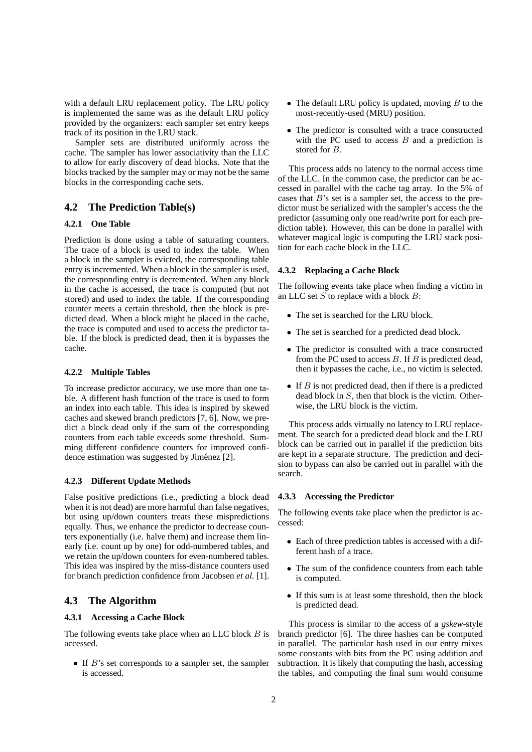with a default LRU replacement policy. The LRU policy is implemented the same was as the default LRU policy provided by the organizers: each sampler set entry keeps track of its position in the LRU stack.

Sampler sets are distributed uniformly across the cache. The sampler has lower associativity than the LLC to allow for early discovery of dead blocks. Note that the blocks tracked by the sampler may or may not be the same blocks in the corresponding cache sets.

### **4.2 The Prediction Table(s)**

#### **4.2.1 One Table**

Prediction is done using a table of saturating counters. The trace of a block is used to index the table. When a block in the sampler is evicted, the corresponding table entry is incremented. When a block in the sampler is used, the corresponding entry is decremented. When any block in the cache is accessed, the trace is computed (but not stored) and used to index the table. If the corresponding counter meets a certain threshold, then the block is predicted dead. When a block might be placed in the cache, the trace is computed and used to access the predictor table. If the block is predicted dead, then it is bypasses the cache.

#### **4.2.2 Multiple Tables**

To increase predictor accuracy, we use more than one table. A different hash function of the trace is used to form an index into each table. This idea is inspired by skewed caches and skewed branch predictors [7, 6]. Now, we predict a block dead only if the sum of the corresponding counters from each table exceeds some threshold. Summing different confidence counters for improved confidence estimation was suggested by Jiménez [2].

#### **4.2.3 Different Update Methods**

False positive predictions (i.e., predicting a block dead when it is not dead) are more harmful than false negatives, but using up/down counters treats these mispredictions equally. Thus, we enhance the predictor to decrease counters exponentially (i.e. halve them) and increase them linearly (i.e. count up by one) for odd-numbered tables, and we retain the up/down counters for even-numbered tables. This idea was inspired by the miss-distance counters used for branch prediction confidence from Jacobsen *et al.* [1].

#### **4.3 The Algorithm**

#### **4.3.1 Accessing a Cache Block**

The following events take place when an LLC block  $B$  is accessed.

• If  $B$ 's set corresponds to a sampler set, the sampler is accessed.

- The default LRU policy is updated, moving  $B$  to the most-recently-used (MRU) position.
- The predictor is consulted with a trace constructed with the PC used to access  $B$  and a prediction is stored for B.

This process adds no latency to the normal access time of the LLC. In the common case, the predictor can be accessed in parallel with the cache tag array. In the 5% of cases that  $B$ 's set is a sampler set, the access to the predictor must be serialized with the sampler's access the the predictor (assuming only one read/write port for each prediction table). However, this can be done in parallel with whatever magical logic is computing the LRU stack position for each cache block in the LLC.

#### **4.3.2 Replacing a Cache Block**

The following events take place when finding a victim in an LLC set  $S$  to replace with a block  $B$ :

- The set is searched for the LRU block.
- The set is searched for a predicted dead block.
- The predictor is consulted with a trace constructed from the PC used to access  $B$ . If  $B$  is predicted dead, then it bypasses the cache, i.e., no victim is selected.
- If  $B$  is not predicted dead, then if there is a predicted dead block in  $S$ , then that block is the victim. Otherwise, the LRU block is the victim.

This process adds virtually no latency to LRU replacement. The search for a predicted dead block and the LRU block can be carried out in parallel if the prediction bits are kept in a separate structure. The prediction and decision to bypass can also be carried out in parallel with the search.

#### **4.3.3 Accessing the Predictor**

The following events take place when the predictor is accessed:

- Each of three prediction tables is accessed with a different hash of a trace.
- The sum of the confidence counters from each table is computed.
- If this sum is at least some threshold, then the block is predicted dead.

This process is similar to the access of a *gskew*-style branch predictor [6]. The three hashes can be computed in parallel. The particular hash used in our entry mixes some constants with bits from the PC using addition and subtraction. It is likely that computing the hash, accessing the tables, and computing the final sum would consume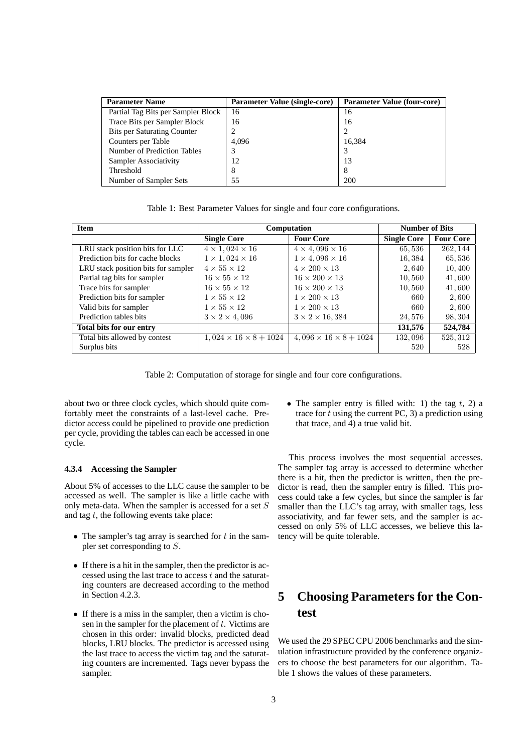| <b>Parameter Name</b>              | Parameter Value (single-core) | <b>Parameter Value (four-core)</b> |
|------------------------------------|-------------------------------|------------------------------------|
| Partial Tag Bits per Sampler Block | 16                            | 16                                 |
| Trace Bits per Sampler Block       | 16                            | 16                                 |
| <b>Bits per Saturating Counter</b> | 2                             |                                    |
| Counters per Table                 | 4.096                         | 16.384                             |
| Number of Prediction Tables        | 3                             | 3                                  |
| Sampler Associativity              | 12                            | 13                                 |
| Threshold                          | 8                             | 8                                  |
| Number of Sampler Sets             | 55                            | 200                                |

Table 1: Best Parameter Values for single and four core configurations.

| <b>Item</b>                         | Computation                       |                                   | <b>Number of Bits</b> |                  |
|-------------------------------------|-----------------------------------|-----------------------------------|-----------------------|------------------|
|                                     | <b>Single Core</b>                | <b>Four Core</b>                  | <b>Single Core</b>    | <b>Four Core</b> |
| LRU stack position bits for LLC     | $4 \times 1,024 \times 16$        | $4 \times 4,096 \times 16$        | 65,536                | 262, 144         |
| Prediction bits for cache blocks    | $1 \times 1,024 \times 16$        | $1 \times 4,096 \times 16$        | 16,384                | 65,536           |
| LRU stack position bits for sampler | $4 \times 55 \times 12$           | $4 \times 200 \times 13$          | 2,640                 | 10,400           |
| Partial tag bits for sampler        | $16 \times 55 \times 12$          | $16 \times 200 \times 13$         | 10,560                | 41,600           |
| Trace bits for sampler              | $16 \times 55 \times 12$          | $16 \times 200 \times 13$         | 10,560                | 41,600           |
| Prediction bits for sampler         | $1 \times 55 \times 12$           | $1 \times 200 \times 13$          | 660                   | 2,600            |
| Valid bits for sampler              | $1 \times 55 \times 12$           | $1 \times 200 \times 13$          | 660                   | 2,600            |
| Prediction tables bits              | $3 \times 2 \times 4,096$         | $3 \times 2 \times 16,384$        | 24,576                | 98, 304          |
| Total bits for our entry            |                                   |                                   | 131,576               | 524,784          |
| Total bits allowed by contest       | $1,024 \times 16 \times 8 + 1024$ | $4,096 \times 16 \times 8 + 1024$ | 132,096               | 525, 312         |
| Surplus bits                        |                                   |                                   | 520                   | 528              |

Table 2: Computation of storage for single and four core configurations.

about two or three clock cycles, which should quite comfortably meet the constraints of a last-level cache. Predictor access could be pipelined to provide one prediction per cycle, providing the tables can each be accessed in one cycle.

#### **4.3.4 Accessing the Sampler**

About 5% of accesses to the LLC cause the sampler to be accessed as well. The sampler is like a little cache with only meta-data. When the sampler is accessed for a set S and tag  $t$ , the following events take place:

- The sampler's tag array is searched for  $t$  in the sampler set corresponding to S.
- If there is a hit in the sampler, then the predictor is accessed using the last trace to access  $t$  and the saturating counters are decreased according to the method in Section 4.2.3.
- If there is a miss in the sampler, then a victim is chosen in the sampler for the placement of  $t$ . Victims are chosen in this order: invalid blocks, predicted dead blocks, LRU blocks. The predictor is accessed using the last trace to access the victim tag and the saturating counters are incremented. Tags never bypass the sampler.

• The sampler entry is filled with: 1) the tag  $t$ , 2) a trace for t using the current PC, 3) a prediction using that trace, and 4) a true valid bit.

This process involves the most sequential accesses. The sampler tag array is accessed to determine whether there is a hit, then the predictor is written, then the predictor is read, then the sampler entry is filled. This process could take a few cycles, but since the sampler is far smaller than the LLC's tag array, with smaller tags, less associativity, and far fewer sets, and the sampler is accessed on only 5% of LLC accesses, we believe this latency will be quite tolerable.

# **5 Choosing Parameters for the Contest**

We used the 29 SPEC CPU 2006 benchmarks and the simulation infrastructure provided by the conference organizers to choose the best parameters for our algorithm. Table 1 shows the values of these parameters.